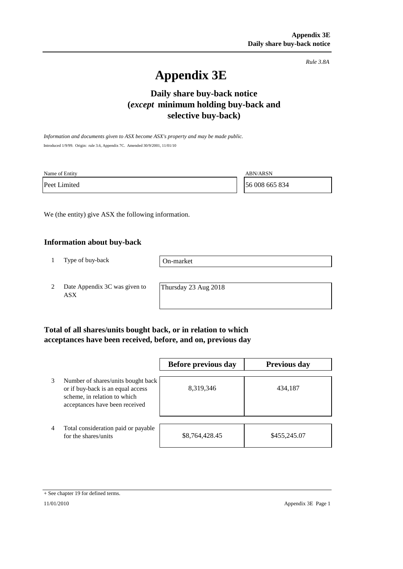*Rule 3.8A*

# **Appendix 3E**

## **Daily share buy-back notice (***except* **minimum holding buy-back and selective buy-back)**

*Information and documents given to ASX become ASX's property and may be made public.* Introduced 1/9/99. Origin: rule 3.6, Appendix 7C. Amended 30/9/2001, 11/01/10

| Name of Entity | <b>ABN/ARSN</b> |
|----------------|-----------------|
| Peet Limited   | 56 008 665 834  |

We (the entity) give ASX the following information.

#### **Information about buy-back**

1 Type of buy-back

On-market

2 Date Appendix 3C was given to ASX

Thursday 23 Aug 2018

#### **Total of all shares/units bought back, or in relation to which acceptances have been received, before, and on, previous day**

|                |                                                                                                                                           | Before previous day | <b>Previous day</b> |
|----------------|-------------------------------------------------------------------------------------------------------------------------------------------|---------------------|---------------------|
| 3              | Number of shares/units bought back<br>or if buy-back is an equal access<br>scheme, in relation to which<br>acceptances have been received | 8,319,346           | 434,187             |
| $\overline{4}$ | Total consideration paid or payable<br>for the shares/units                                                                               | \$8,764,428.45      | \$455,245.07        |

<sup>+</sup> See chapter 19 for defined terms.